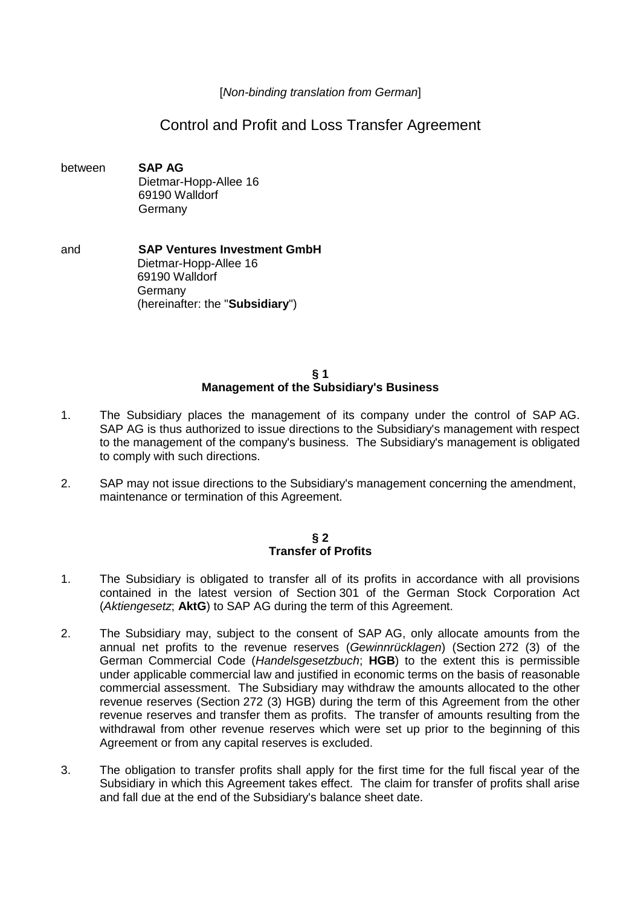[*Non-binding translation from German*]

# Control and Profit and Loss Transfer Agreement

- between **SAP AG** Dietmar-Hopp-Allee 16 69190 Walldorf Germany
- and **SAP Ventures Investment GmbH**  Dietmar-Hopp-Allee 16 69190 Walldorf Germany (hereinafter: the "**Subsidiary**")

### **§ 1 Management of the Subsidiary's Business**

- 1. The Subsidiary places the management of its company under the control of SAP AG. SAP AG is thus authorized to issue directions to the Subsidiary's management with respect to the management of the company's business. The Subsidiary's management is obligated to comply with such directions.
- 2. SAP may not issue directions to the Subsidiary's management concerning the amendment, maintenance or termination of this Agreement.

## **§ 2 Transfer of Profits**

- 1. The Subsidiary is obligated to transfer all of its profits in accordance with all provisions contained in the latest version of Section 301 of the German Stock Corporation Act (*Aktiengesetz*; **AktG**) to SAP AG during the term of this Agreement.
- 2. The Subsidiary may, subject to the consent of SAP AG, only allocate amounts from the annual net profits to the revenue reserves (*Gewinnrücklagen*) (Section 272 (3) of the German Commercial Code (*Handelsgesetzbuch*; **HGB**) to the extent this is permissible under applicable commercial law and justified in economic terms on the basis of reasonable commercial assessment. The Subsidiary may withdraw the amounts allocated to the other revenue reserves (Section 272 (3) HGB) during the term of this Agreement from the other revenue reserves and transfer them as profits. The transfer of amounts resulting from the withdrawal from other revenue reserves which were set up prior to the beginning of this Agreement or from any capital reserves is excluded.
- 3. The obligation to transfer profits shall apply for the first time for the full fiscal year of the Subsidiary in which this Agreement takes effect. The claim for transfer of profits shall arise and fall due at the end of the Subsidiary's balance sheet date.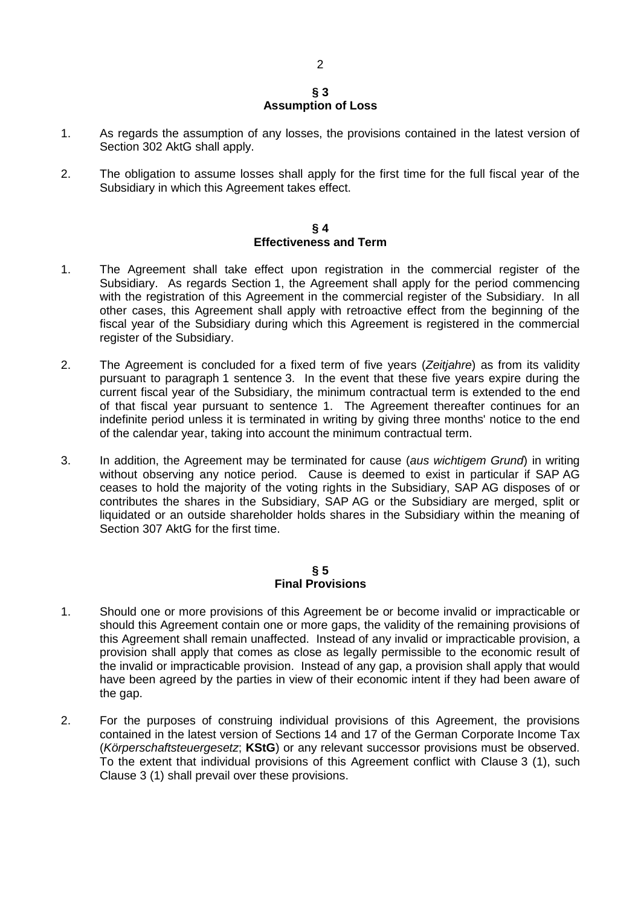## **§ 3 Assumption of Loss**

- 1. As regards the assumption of any losses, the provisions contained in the latest version of Section 302 AktG shall apply.
- 2. The obligation to assume losses shall apply for the first time for the full fiscal year of the Subsidiary in which this Agreement takes effect.

#### **§ 4 Effectiveness and Term**

- 1. The Agreement shall take effect upon registration in the commercial register of the Subsidiary. As regards Section 1, the Agreement shall apply for the period commencing with the registration of this Agreement in the commercial register of the Subsidiary. In all other cases, this Agreement shall apply with retroactive effect from the beginning of the fiscal year of the Subsidiary during which this Agreement is registered in the commercial register of the Subsidiary.
- 2. The Agreement is concluded for a fixed term of five years (*Zeitjahre*) as from its validity pursuant to paragraph 1 sentence 3. In the event that these five years expire during the current fiscal year of the Subsidiary, the minimum contractual term is extended to the end of that fiscal year pursuant to sentence 1. The Agreement thereafter continues for an indefinite period unless it is terminated in writing by giving three months' notice to the end of the calendar year, taking into account the minimum contractual term.
- 3. In addition, the Agreement may be terminated for cause (*aus wichtigem Grund*) in writing without observing any notice period. Cause is deemed to exist in particular if SAP AG ceases to hold the majority of the voting rights in the Subsidiary, SAP AG disposes of or contributes the shares in the Subsidiary, SAP AG or the Subsidiary are merged, split or liquidated or an outside shareholder holds shares in the Subsidiary within the meaning of Section 307 AktG for the first time.

## **§ 5 Final Provisions**

- 1. Should one or more provisions of this Agreement be or become invalid or impracticable or should this Agreement contain one or more gaps, the validity of the remaining provisions of this Agreement shall remain unaffected. Instead of any invalid or impracticable provision, a provision shall apply that comes as close as legally permissible to the economic result of the invalid or impracticable provision. Instead of any gap, a provision shall apply that would have been agreed by the parties in view of their economic intent if they had been aware of the gap.
- 2. For the purposes of construing individual provisions of this Agreement, the provisions contained in the latest version of Sections 14 and 17 of the German Corporate Income Tax (*Körperschaftsteuergesetz*; **KStG**) or any relevant successor provisions must be observed. To the extent that individual provisions of this Agreement conflict with Clause 3 (1), such Clause 3 (1) shall prevail over these provisions.